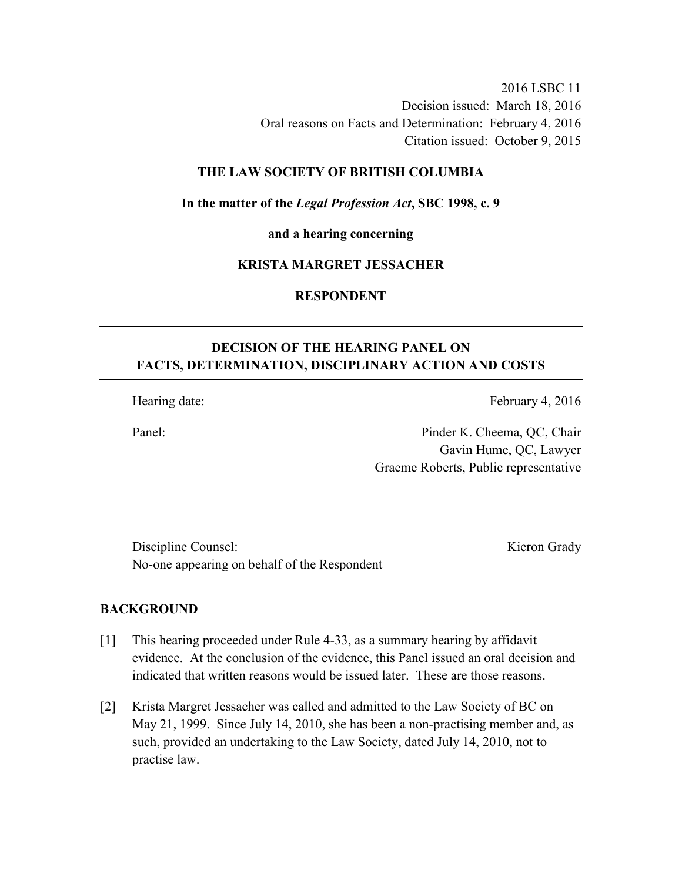2016 LSBC 11 Decision issued: March 18, 2016 Oral reasons on Facts and Determination: February 4, 2016 Citation issued: October 9, 2015

## **THE LAW SOCIETY OF BRITISH COLUMBIA**

**In the matter of the** *Legal Profession Act***, SBC 1998, c. 9** 

**and a hearing concerning** 

## **KRISTA MARGRET JESSACHER**

**RESPONDENT** 

# **DECISION OF THE HEARING PANEL ON FACTS, DETERMINATION, DISCIPLINARY ACTION AND COSTS**

Hearing date: February 4, 2016

Panel: Pinder K. Cheema, QC, Chair Gavin Hume, QC, Lawyer Graeme Roberts, Public representative

Discipline Counsel: Kieron Grady No-one appearing on behalf of the Respondent

### **BACKGROUND**

- [1] This hearing proceeded under Rule 4-33, as a summary hearing by affidavit evidence. At the conclusion of the evidence, this Panel issued an oral decision and indicated that written reasons would be issued later. These are those reasons.
- [2] Krista Margret Jessacher was called and admitted to the Law Society of BC on May 21, 1999. Since July 14, 2010, she has been a non-practising member and, as such, provided an undertaking to the Law Society, dated July 14, 2010, not to practise law.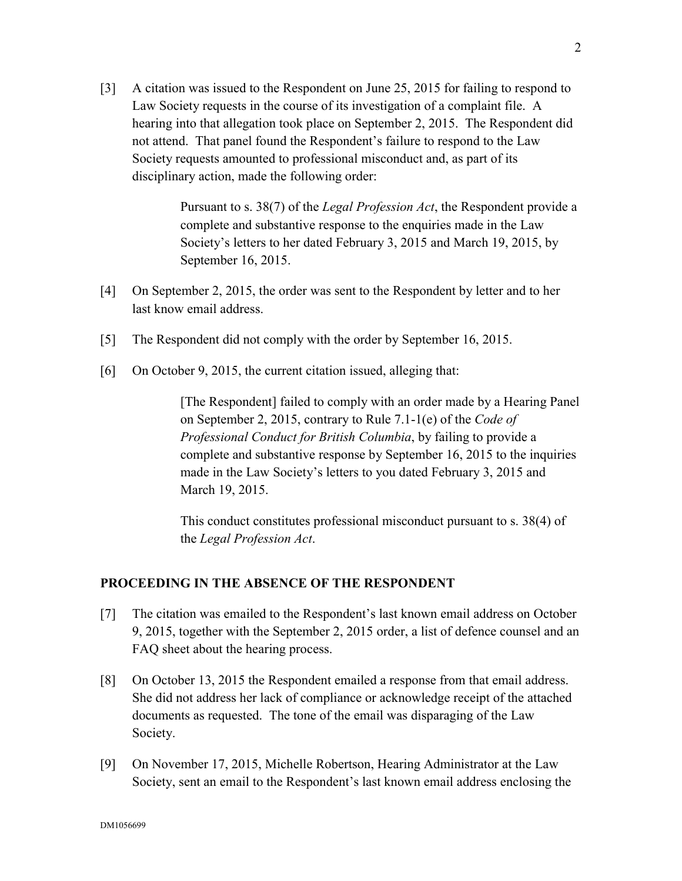[3] A citation was issued to the Respondent on June 25, 2015 for failing to respond to Law Society requests in the course of its investigation of a complaint file. A hearing into that allegation took place on September 2, 2015. The Respondent did not attend. That panel found the Respondent's failure to respond to the Law Society requests amounted to professional misconduct and, as part of its disciplinary action, made the following order:

> Pursuant to s. 38(7) of the *Legal Profession Act*, the Respondent provide a complete and substantive response to the enquiries made in the Law Society's letters to her dated February 3, 2015 and March 19, 2015, by September 16, 2015.

- [4] On September 2, 2015, the order was sent to the Respondent by letter and to her last know email address.
- [5] The Respondent did not comply with the order by September 16, 2015.
- [6] On October 9, 2015, the current citation issued, alleging that:

[The Respondent] failed to comply with an order made by a Hearing Panel on September 2, 2015, contrary to Rule 7.1-1(e) of the *Code of Professional Conduct for British Columbia*, by failing to provide a complete and substantive response by September 16, 2015 to the inquiries made in the Law Society's letters to you dated February 3, 2015 and March 19, 2015.

This conduct constitutes professional misconduct pursuant to s. 38(4) of the *Legal Profession Act*.

## **PROCEEDING IN THE ABSENCE OF THE RESPONDENT**

- [7] The citation was emailed to the Respondent's last known email address on October 9, 2015, together with the September 2, 2015 order, a list of defence counsel and an FAQ sheet about the hearing process.
- [8] On October 13, 2015 the Respondent emailed a response from that email address. She did not address her lack of compliance or acknowledge receipt of the attached documents as requested. The tone of the email was disparaging of the Law Society.
- [9] On November 17, 2015, Michelle Robertson, Hearing Administrator at the Law Society, sent an email to the Respondent's last known email address enclosing the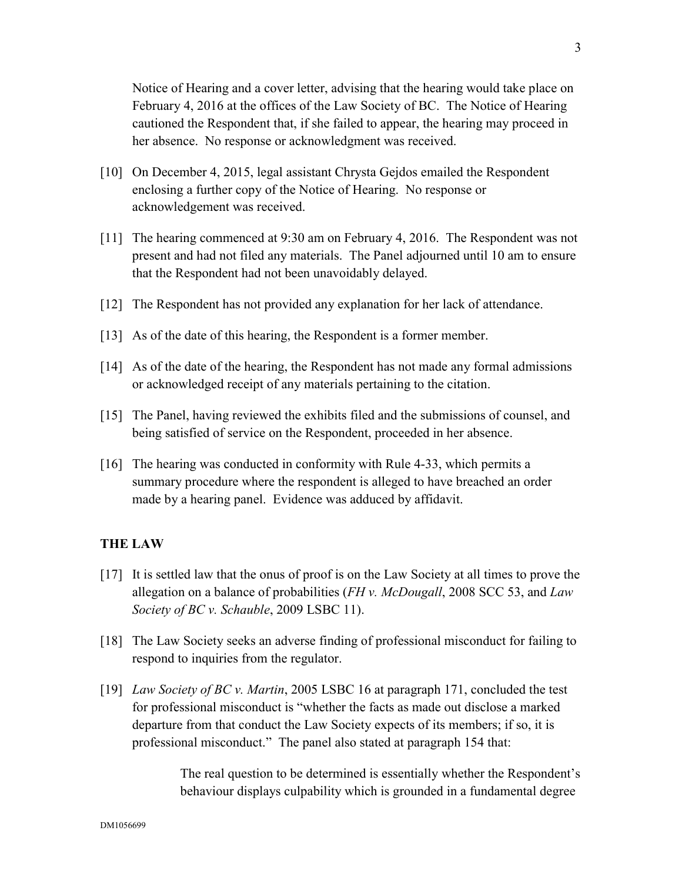Notice of Hearing and a cover letter, advising that the hearing would take place on February 4, 2016 at the offices of the Law Society of BC. The Notice of Hearing cautioned the Respondent that, if she failed to appear, the hearing may proceed in her absence. No response or acknowledgment was received.

- [10] On December 4, 2015, legal assistant Chrysta Gejdos emailed the Respondent enclosing a further copy of the Notice of Hearing. No response or acknowledgement was received.
- [11] The hearing commenced at 9:30 am on February 4, 2016. The Respondent was not present and had not filed any materials. The Panel adjourned until 10 am to ensure that the Respondent had not been unavoidably delayed.
- [12] The Respondent has not provided any explanation for her lack of attendance.
- [13] As of the date of this hearing, the Respondent is a former member.
- [14] As of the date of the hearing, the Respondent has not made any formal admissions or acknowledged receipt of any materials pertaining to the citation.
- [15] The Panel, having reviewed the exhibits filed and the submissions of counsel, and being satisfied of service on the Respondent, proceeded in her absence.
- [16] The hearing was conducted in conformity with Rule 4-33, which permits a summary procedure where the respondent is alleged to have breached an order made by a hearing panel. Evidence was adduced by affidavit.

### **THE LAW**

- [17] It is settled law that the onus of proof is on the Law Society at all times to prove the allegation on a balance of probabilities (*FH v. McDougall*, 2008 SCC 53, and *Law Society of BC v. Schauble*, 2009 LSBC 11).
- [18] The Law Society seeks an adverse finding of professional misconduct for failing to respond to inquiries from the regulator.
- [19] *Law Society of BC v. Martin*, 2005 LSBC 16 at paragraph 171, concluded the test for professional misconduct is "whether the facts as made out disclose a marked departure from that conduct the Law Society expects of its members; if so, it is professional misconduct." The panel also stated at paragraph 154 that:

The real question to be determined is essentially whether the Respondent's behaviour displays culpability which is grounded in a fundamental degree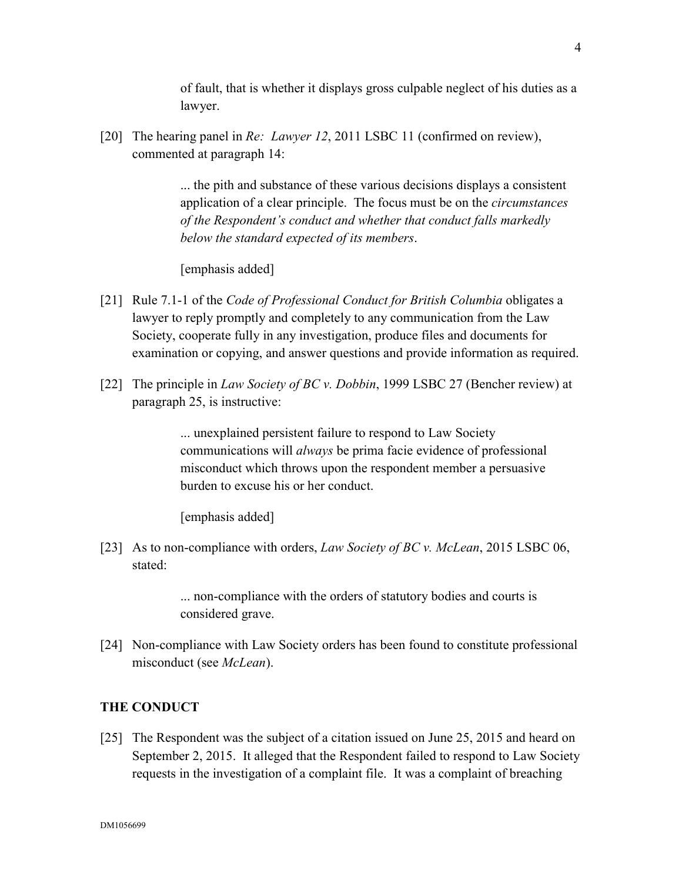of fault, that is whether it displays gross culpable neglect of his duties as a lawyer.

[20] The hearing panel in *Re: Lawyer 12*, 2011 LSBC 11 (confirmed on review), commented at paragraph 14:

> ... the pith and substance of these various decisions displays a consistent application of a clear principle. The focus must be on the *circumstances of the Respondent's conduct and whether that conduct falls markedly below the standard expected of its members*.

[emphasis added]

- [21] Rule 7.1-1 of the *Code of Professional Conduct for British Columbia* obligates a lawyer to reply promptly and completely to any communication from the Law Society, cooperate fully in any investigation, produce files and documents for examination or copying, and answer questions and provide information as required.
- [22] The principle in *Law Society of BC v. Dobbin*, 1999 LSBC 27 (Bencher review) at paragraph 25, is instructive:

... unexplained persistent failure to respond to Law Society communications will *always* be prima facie evidence of professional misconduct which throws upon the respondent member a persuasive burden to excuse his or her conduct.

[emphasis added]

[23] As to non-compliance with orders, *Law Society of BC v. McLean*, 2015 LSBC 06, stated:

> ... non-compliance with the orders of statutory bodies and courts is considered grave.

[24] Non-compliance with Law Society orders has been found to constitute professional misconduct (see *McLean*).

## **THE CONDUCT**

[25] The Respondent was the subject of a citation issued on June 25, 2015 and heard on September 2, 2015. It alleged that the Respondent failed to respond to Law Society requests in the investigation of a complaint file. It was a complaint of breaching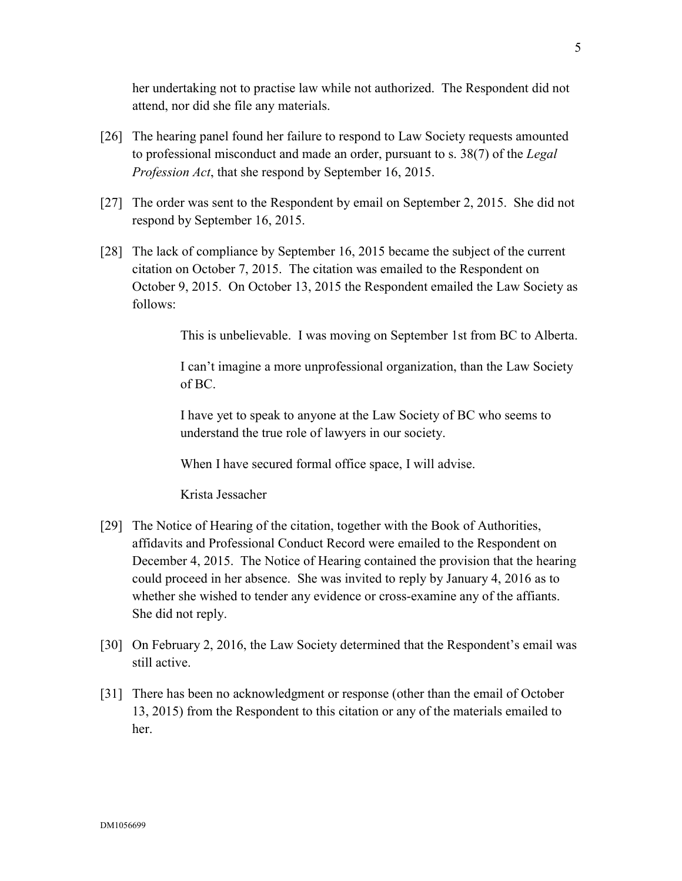her undertaking not to practise law while not authorized. The Respondent did not attend, nor did she file any materials.

- [26] The hearing panel found her failure to respond to Law Society requests amounted to professional misconduct and made an order, pursuant to s. 38(7) of the *Legal Profession Act*, that she respond by September 16, 2015.
- [27] The order was sent to the Respondent by email on September 2, 2015. She did not respond by September 16, 2015.
- [28] The lack of compliance by September 16, 2015 became the subject of the current citation on October 7, 2015. The citation was emailed to the Respondent on October 9, 2015. On October 13, 2015 the Respondent emailed the Law Society as follows:

This is unbelievable. I was moving on September 1st from BC to Alberta.

I can't imagine a more unprofessional organization, than the Law Society of BC.

I have yet to speak to anyone at the Law Society of BC who seems to understand the true role of lawyers in our society.

When I have secured formal office space, I will advise.

Krista Jessacher

- [29] The Notice of Hearing of the citation, together with the Book of Authorities, affidavits and Professional Conduct Record were emailed to the Respondent on December 4, 2015. The Notice of Hearing contained the provision that the hearing could proceed in her absence. She was invited to reply by January 4, 2016 as to whether she wished to tender any evidence or cross-examine any of the affiants. She did not reply.
- [30] On February 2, 2016, the Law Society determined that the Respondent's email was still active.
- [31] There has been no acknowledgment or response (other than the email of October 13, 2015) from the Respondent to this citation or any of the materials emailed to her.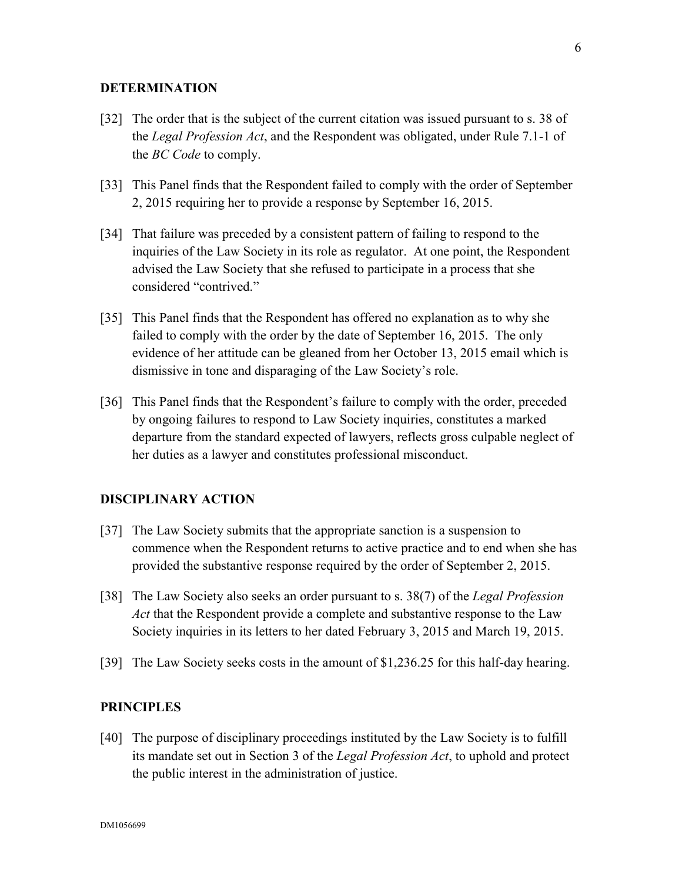### **DETERMINATION**

- [32] The order that is the subject of the current citation was issued pursuant to s. 38 of the *Legal Profession Act*, and the Respondent was obligated, under Rule 7.1-1 of the *BC Code* to comply.
- [33] This Panel finds that the Respondent failed to comply with the order of September 2, 2015 requiring her to provide a response by September 16, 2015.
- [34] That failure was preceded by a consistent pattern of failing to respond to the inquiries of the Law Society in its role as regulator. At one point, the Respondent advised the Law Society that she refused to participate in a process that she considered "contrived."
- [35] This Panel finds that the Respondent has offered no explanation as to why she failed to comply with the order by the date of September 16, 2015. The only evidence of her attitude can be gleaned from her October 13, 2015 email which is dismissive in tone and disparaging of the Law Society's role.
- [36] This Panel finds that the Respondent's failure to comply with the order, preceded by ongoing failures to respond to Law Society inquiries, constitutes a marked departure from the standard expected of lawyers, reflects gross culpable neglect of her duties as a lawyer and constitutes professional misconduct.

#### **DISCIPLINARY ACTION**

- [37] The Law Society submits that the appropriate sanction is a suspension to commence when the Respondent returns to active practice and to end when she has provided the substantive response required by the order of September 2, 2015.
- [38] The Law Society also seeks an order pursuant to s. 38(7) of the *Legal Profession Act* that the Respondent provide a complete and substantive response to the Law Society inquiries in its letters to her dated February 3, 2015 and March 19, 2015.
- [39] The Law Society seeks costs in the amount of \$1,236.25 for this half-day hearing.

#### **PRINCIPLES**

[40] The purpose of disciplinary proceedings instituted by the Law Society is to fulfill its mandate set out in Section 3 of the *Legal Profession Act*, to uphold and protect the public interest in the administration of justice.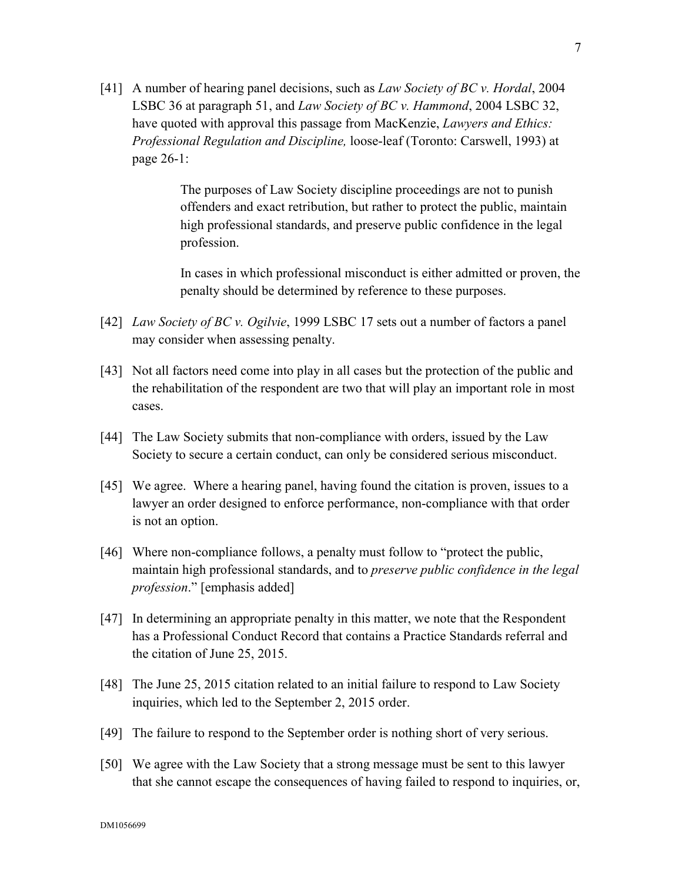[41] A number of hearing panel decisions, such as *Law Society of BC v. Hordal*, 2004 LSBC 36 at paragraph 51, and *Law Society of BC v. Hammond*, 2004 LSBC 32, have quoted with approval this passage from MacKenzie, *Lawyers and Ethics: Professional Regulation and Discipline,* loose-leaf (Toronto: Carswell, 1993) at page 26-1:

> The purposes of Law Society discipline proceedings are not to punish offenders and exact retribution, but rather to protect the public, maintain high professional standards, and preserve public confidence in the legal profession.

In cases in which professional misconduct is either admitted or proven, the penalty should be determined by reference to these purposes.

- [42] *Law Society of BC v. Ogilvie*, 1999 LSBC 17 sets out a number of factors a panel may consider when assessing penalty.
- [43] Not all factors need come into play in all cases but the protection of the public and the rehabilitation of the respondent are two that will play an important role in most cases.
- [44] The Law Society submits that non-compliance with orders, issued by the Law Society to secure a certain conduct, can only be considered serious misconduct.
- [45] We agree. Where a hearing panel, having found the citation is proven, issues to a lawyer an order designed to enforce performance, non-compliance with that order is not an option.
- [46] Where non-compliance follows, a penalty must follow to "protect the public, maintain high professional standards, and to *preserve public confidence in the legal profession*." [emphasis added]
- [47] In determining an appropriate penalty in this matter, we note that the Respondent has a Professional Conduct Record that contains a Practice Standards referral and the citation of June 25, 2015.
- [48] The June 25, 2015 citation related to an initial failure to respond to Law Society inquiries, which led to the September 2, 2015 order.
- [49] The failure to respond to the September order is nothing short of very serious.
- [50] We agree with the Law Society that a strong message must be sent to this lawyer that she cannot escape the consequences of having failed to respond to inquiries, or,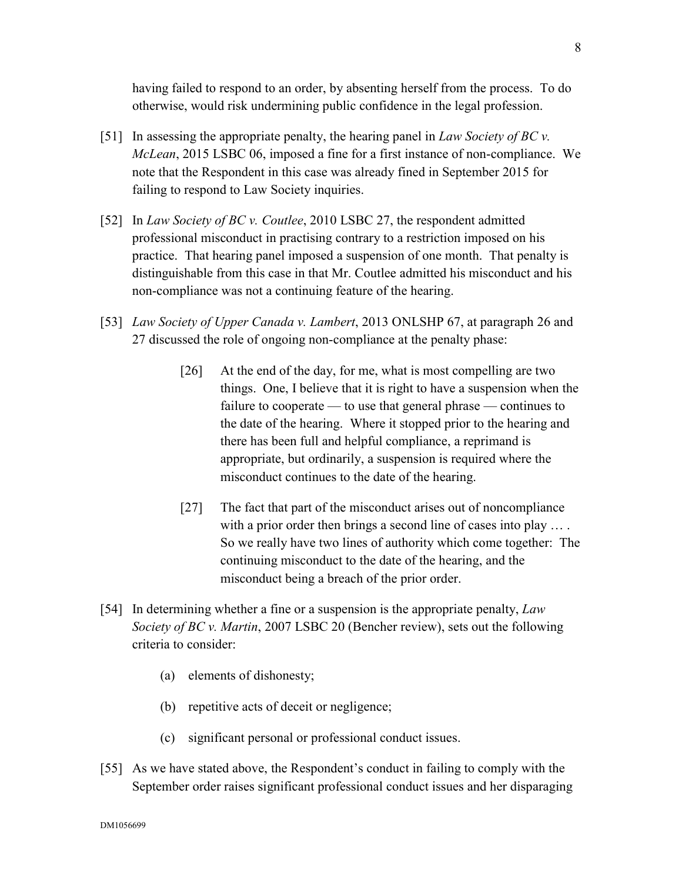having failed to respond to an order, by absenting herself from the process. To do otherwise, would risk undermining public confidence in the legal profession.

- [51] In assessing the appropriate penalty, the hearing panel in *Law Society of BC v. McLean*, 2015 LSBC 06, imposed a fine for a first instance of non-compliance. We note that the Respondent in this case was already fined in September 2015 for failing to respond to Law Society inquiries.
- [52] In *Law Society of BC v. Coutlee*, 2010 LSBC 27, the respondent admitted professional misconduct in practising contrary to a restriction imposed on his practice. That hearing panel imposed a suspension of one month. That penalty is distinguishable from this case in that Mr. Coutlee admitted his misconduct and his non-compliance was not a continuing feature of the hearing.
- [53] *Law Society of Upper Canada v. Lambert*, 2013 ONLSHP 67, at paragraph 26 and 27 discussed the role of ongoing non-compliance at the penalty phase:
	- [26] At the end of the day, for me, what is most compelling are two things. One, I believe that it is right to have a suspension when the failure to cooperate — to use that general phrase — continues to the date of the hearing. Where it stopped prior to the hearing and there has been full and helpful compliance, a reprimand is appropriate, but ordinarily, a suspension is required where the misconduct continues to the date of the hearing.
	- [27] The fact that part of the misconduct arises out of noncompliance with a prior order then brings a second line of cases into play .... So we really have two lines of authority which come together: The continuing misconduct to the date of the hearing, and the misconduct being a breach of the prior order.
- [54] In determining whether a fine or a suspension is the appropriate penalty, *Law Society of BC v. Martin*, 2007 LSBC 20 (Bencher review), sets out the following criteria to consider:
	- (a) elements of dishonesty;
	- (b) repetitive acts of deceit or negligence;
	- (c) significant personal or professional conduct issues.
- [55] As we have stated above, the Respondent's conduct in failing to comply with the September order raises significant professional conduct issues and her disparaging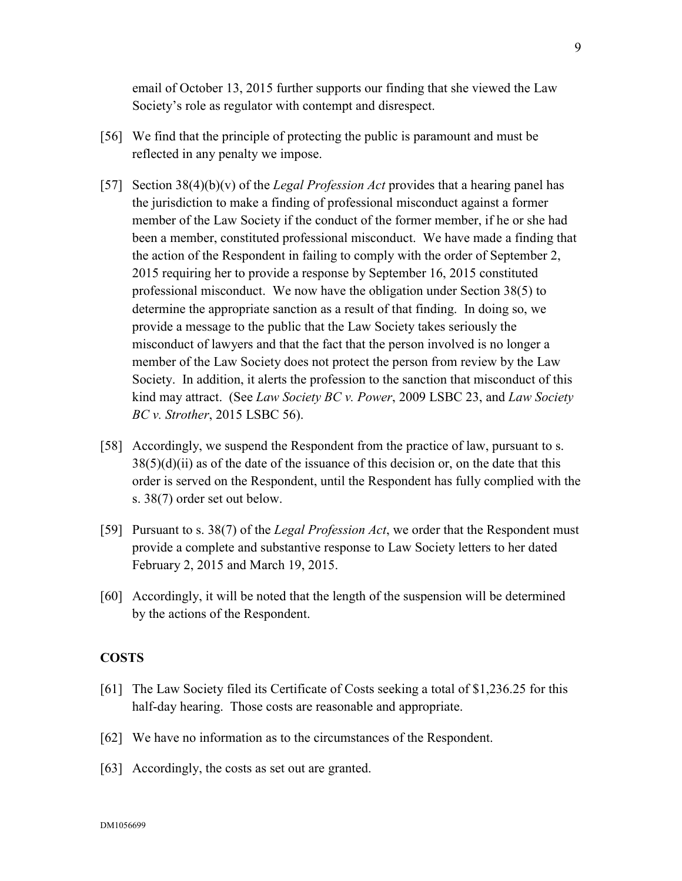email of October 13, 2015 further supports our finding that she viewed the Law Society's role as regulator with contempt and disrespect.

- [56] We find that the principle of protecting the public is paramount and must be reflected in any penalty we impose.
- [57] Section 38(4)(b)(v) of the *Legal Profession Act* provides that a hearing panel has the jurisdiction to make a finding of professional misconduct against a former member of the Law Society if the conduct of the former member, if he or she had been a member, constituted professional misconduct. We have made a finding that the action of the Respondent in failing to comply with the order of September 2, 2015 requiring her to provide a response by September 16, 2015 constituted professional misconduct. We now have the obligation under Section 38(5) to determine the appropriate sanction as a result of that finding. In doing so, we provide a message to the public that the Law Society takes seriously the misconduct of lawyers and that the fact that the person involved is no longer a member of the Law Society does not protect the person from review by the Law Society. In addition, it alerts the profession to the sanction that misconduct of this kind may attract. (See *Law Society BC v. Power*, 2009 LSBC 23, and *Law Society BC v. Strother*, 2015 LSBC 56).
- [58] Accordingly, we suspend the Respondent from the practice of law, pursuant to s.  $38(5)(d)(ii)$  as of the date of the issuance of this decision or, on the date that this order is served on the Respondent, until the Respondent has fully complied with the s. 38(7) order set out below.
- [59] Pursuant to s. 38(7) of the *Legal Profession Act*, we order that the Respondent must provide a complete and substantive response to Law Society letters to her dated February 2, 2015 and March 19, 2015.
- [60] Accordingly, it will be noted that the length of the suspension will be determined by the actions of the Respondent.

#### **COSTS**

- [61] The Law Society filed its Certificate of Costs seeking a total of \$1,236.25 for this half-day hearing. Those costs are reasonable and appropriate.
- [62] We have no information as to the circumstances of the Respondent.
- [63] Accordingly, the costs as set out are granted.